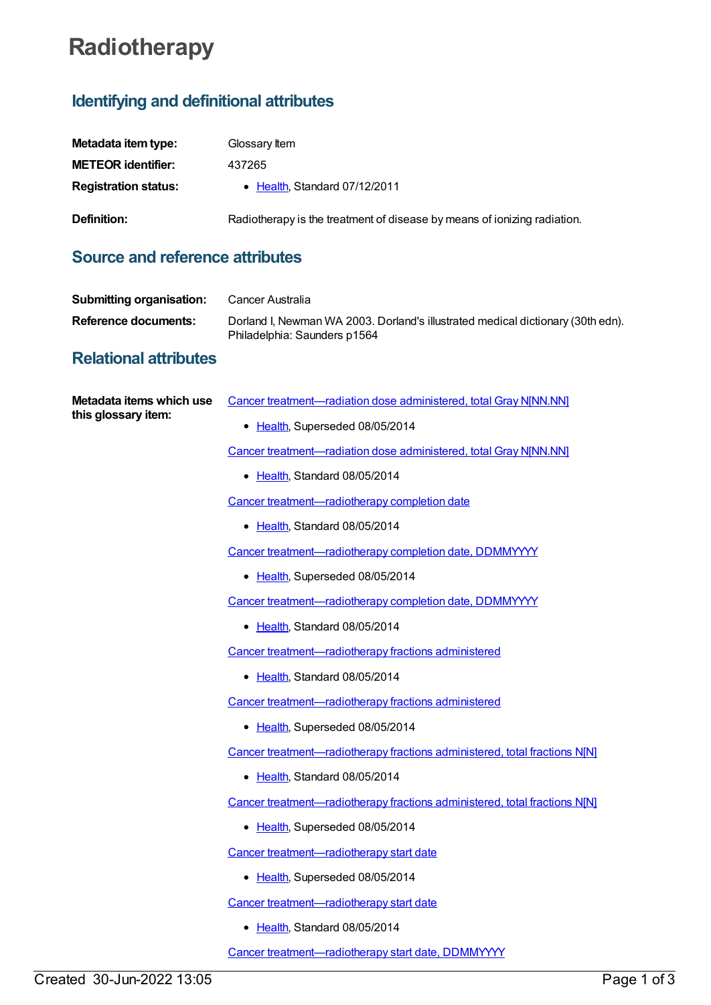# **Radiotherapy**

## **Identifying and definitional attributes**

| Metadata item type:         | Glossary Item                                                            |
|-----------------------------|--------------------------------------------------------------------------|
| <b>METEOR identifier:</b>   | 437265                                                                   |
| <b>Registration status:</b> | • Health, Standard 07/12/2011                                            |
| Definition:                 | Radiotherapy is the treatment of disease by means of ionizing radiation. |

#### **Source and reference attributes**

| Submitting organisation: | Cancer Australia                                                                                                |
|--------------------------|-----------------------------------------------------------------------------------------------------------------|
| Reference documents:     | Dorland I, Newman WA 2003. Dorland's illustrated medical dictionary (30th edn).<br>Philadelphia: Saunders p1564 |

### **Relational attributes**

| Metadata items which use | Cancer treatment-radiation dose administered, total Gray NJNN.NN]          |
|--------------------------|----------------------------------------------------------------------------|
| this glossary item:      | • Health, Superseded 08/05/2014                                            |
|                          | Cancer treatment-radiation dose administered, total Gray NJNN.NN]          |
|                          | • Health, Standard 08/05/2014                                              |
|                          | Cancer treatment-radiotherapy completion date                              |
|                          | • Health, Standard 08/05/2014                                              |
|                          | Cancer treatment-radiotherapy completion date, DDMMYYYY                    |
|                          | • Health, Superseded 08/05/2014                                            |
|                          | Cancer treatment-radiotherapy completion date, DDMMYYYY                    |
|                          | • Health, Standard 08/05/2014                                              |
|                          | Cancer treatment-radiotherapy fractions administered                       |
|                          | • Health, Standard 08/05/2014                                              |
|                          | Cancer treatment-radiotherapy fractions administered                       |
|                          | • Health, Superseded 08/05/2014                                            |
|                          | Cancer treatment—radiotherapy fractions administered, total fractions N[N] |
|                          | • Health, Standard 08/05/2014                                              |
|                          | Cancer treatment-radiotherapy fractions administered, total fractions N[N] |
|                          | • Health, Superseded 08/05/2014                                            |
|                          | Cancer treatment-radiotherapy start date                                   |
|                          | • Health, Superseded 08/05/2014                                            |
|                          | Cancer treatment-radiotherapy start date                                   |
|                          | • Health, Standard 08/05/2014                                              |
|                          | Cancer treatment-radiotherapy start date, DDMMYYYY                         |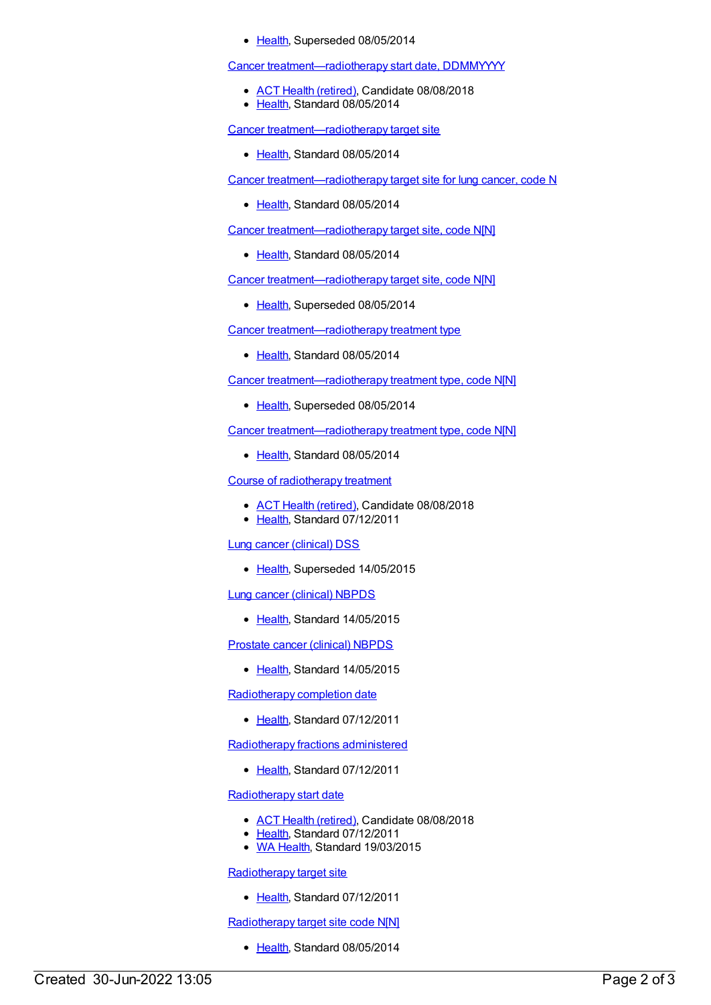#### • [Health](https://meteor.aihw.gov.au/RegistrationAuthority/12), Superseded 08/05/2014

Cancer [treatment—radiotherapy](https://meteor.aihw.gov.au/content/561469) start date, DDMMYYYY

- ACT Health [\(retired\)](https://meteor.aihw.gov.au/RegistrationAuthority/9), Candidate 08/08/2018
- [Health](https://meteor.aihw.gov.au/RegistrationAuthority/12), Standard 08/05/2014

Cancer [treatment—radiotherapy](https://meteor.aihw.gov.au/content/561474) target site

● [Health](https://meteor.aihw.gov.au/RegistrationAuthority/12), Standard 08/05/2014

Cancer [treatment—radiotherapy](https://meteor.aihw.gov.au/content/433274) target site for lung cancer, code N

• [Health](https://meteor.aihw.gov.au/RegistrationAuthority/12), Standard 08/05/2014

Cancer [treatment—radiotherapy](https://meteor.aihw.gov.au/content/561476) target site, code N[N]

[Health](https://meteor.aihw.gov.au/RegistrationAuthority/12), Standard 08/05/2014

Cancer [treatment—radiotherapy](https://meteor.aihw.gov.au/content/393422) target site, code N[N]

• [Health](https://meteor.aihw.gov.au/RegistrationAuthority/12), Superseded 08/05/2014

Cancer [treatment—radiotherapy](https://meteor.aihw.gov.au/content/561519) treatment type

• [Health](https://meteor.aihw.gov.au/RegistrationAuthority/12), Standard 08/05/2014

Cancer [treatment—radiotherapy](https://meteor.aihw.gov.au/content/399526) treatment type, code N[N]

• [Health](https://meteor.aihw.gov.au/RegistrationAuthority/12), Superseded 08/05/2014

Cancer [treatment—radiotherapy](https://meteor.aihw.gov.au/content/561521) treatment type, code N[N]

● [Health](https://meteor.aihw.gov.au/RegistrationAuthority/12), Standard 08/05/2014

Course of [radiotherapy](https://meteor.aihw.gov.au/content/448151) treatment

- ACT Health [\(retired\)](https://meteor.aihw.gov.au/RegistrationAuthority/9), Candidate 08/08/2018
- [Health](https://meteor.aihw.gov.au/RegistrationAuthority/12), Standard 07/12/2011

Lung cancer [\(clinical\)](https://meteor.aihw.gov.au/content/430950) DSS

• [Health](https://meteor.aihw.gov.au/RegistrationAuthority/12), Superseded 14/05/2015

Lung cancer [\(clinical\)](https://meteor.aihw.gov.au/content/599613) NBPDS

• [Health](https://meteor.aihw.gov.au/RegistrationAuthority/12), Standard 14/05/2015

[Prostate](https://meteor.aihw.gov.au/content/481386) cancer (clinical) NBPDS

• [Health](https://meteor.aihw.gov.au/RegistrationAuthority/12), Standard 14/05/2015

[Radiotherapy](https://meteor.aihw.gov.au/content/394467) completion date

• [Health](https://meteor.aihw.gov.au/RegistrationAuthority/12), Standard 07/12/2011

[Radiotherapy](https://meteor.aihw.gov.au/content/393508) fractions administered

• [Health](https://meteor.aihw.gov.au/RegistrationAuthority/12), Standard 07/12/2011

[Radiotherapy](https://meteor.aihw.gov.au/content/393479) start date

- ACT Health [\(retired\)](https://meteor.aihw.gov.au/RegistrationAuthority/9), Candidate 08/08/2018
- [Health](https://meteor.aihw.gov.au/RegistrationAuthority/12), Standard 07/12/2011
- WA [Health](https://meteor.aihw.gov.au/RegistrationAuthority/2), Standard 19/03/2015

[Radiotherapy](https://meteor.aihw.gov.au/content/414605) target site

● [Health](https://meteor.aihw.gov.au/RegistrationAuthority/12), Standard 07/12/2011

[Radiotherapy](https://meteor.aihw.gov.au/content/561472) target site code N[N]

• [Health](https://meteor.aihw.gov.au/RegistrationAuthority/12), Standard 08/05/2014